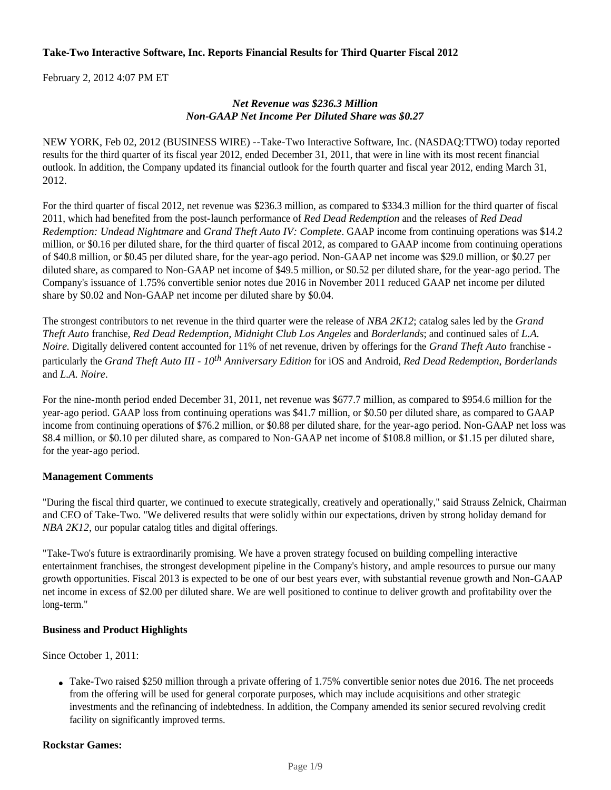#### **Take-Two Interactive Software, Inc. Reports Financial Results for Third Quarter Fiscal 2012**

February 2, 2012 4:07 PM ET

#### *Net Revenue was \$236.3 Million Non-GAAP Net Income Per Diluted Share was \$0.27*

NEW YORK, Feb 02, 2012 (BUSINESS WIRE) --Take-Two Interactive Software, Inc. (NASDAQ:TTWO) today reported results for the third quarter of its fiscal year 2012, ended December 31, 2011, that were in line with its most recent financial outlook. In addition, the Company updated its financial outlook for the fourth quarter and fiscal year 2012, ending March 31, 2012.

For the third quarter of fiscal 2012, net revenue was \$236.3 million, as compared to \$334.3 million for the third quarter of fiscal 2011, which had benefited from the post-launch performance of *Red Dead Redemption* and the releases of *Red Dead Redemption: Undead Nightmare* and *Grand Theft Auto IV: Complete*. GAAP income from continuing operations was \$14.2 million, or \$0.16 per diluted share, for the third quarter of fiscal 2012, as compared to GAAP income from continuing operations of \$40.8 million, or \$0.45 per diluted share, for the year-ago period. Non-GAAP net income was \$29.0 million, or \$0.27 per diluted share, as compared to Non-GAAP net income of \$49.5 million, or \$0.52 per diluted share, for the year-ago period. The Company's issuance of 1.75% convertible senior notes due 2016 in November 2011 reduced GAAP net income per diluted share by \$0.02 and Non-GAAP net income per diluted share by \$0.04.

The strongest contributors to net revenue in the third quarter were the release of *NBA 2K12*; catalog sales led by the *Grand Theft Auto* franchise, *Red Dead Redemption, Midnight Club Los Angeles* and *Borderlands*; and continued sales of *L.A. Noire.* Digitally delivered content accounted for 11% of net revenue, driven by offerings for the *Grand Theft Auto* franchise particularly the *Grand Theft Auto III - 10th Anniversary Edition* for iOS and Android, *Red Dead Redemption*, *Borderlands* and *L.A. Noire*.

For the nine-month period ended December 31, 2011, net revenue was \$677.7 million, as compared to \$954.6 million for the year-ago period. GAAP loss from continuing operations was \$41.7 million, or \$0.50 per diluted share, as compared to GAAP income from continuing operations of \$76.2 million, or \$0.88 per diluted share, for the year-ago period. Non-GAAP net loss was \$8.4 million, or \$0.10 per diluted share, as compared to Non-GAAP net income of \$108.8 million, or \$1.15 per diluted share, for the year-ago period.

#### **Management Comments**

"During the fiscal third quarter, we continued to execute strategically, creatively and operationally," said Strauss Zelnick, Chairman and CEO of Take-Two. "We delivered results that were solidly within our expectations, driven by strong holiday demand for *NBA 2K12*, our popular catalog titles and digital offerings.

"Take-Two's future is extraordinarily promising. We have a proven strategy focused on building compelling interactive entertainment franchises, the strongest development pipeline in the Company's history, and ample resources to pursue our many growth opportunities. Fiscal 2013 is expected to be one of our best years ever, with substantial revenue growth and Non-GAAP net income in excess of \$2.00 per diluted share. We are well positioned to continue to deliver growth and profitability over the long-term."

#### **Business and Product Highlights**

Since October 1, 2011:

• Take-Two raised \$250 million through a private offering of 1.75% convertible senior notes due 2016. The net proceeds from the offering will be used for general corporate purposes, which may include acquisitions and other strategic investments and the refinancing of indebtedness. In addition, the Company amended its senior secured revolving credit facility on significantly improved terms.

#### **Rockstar Games:**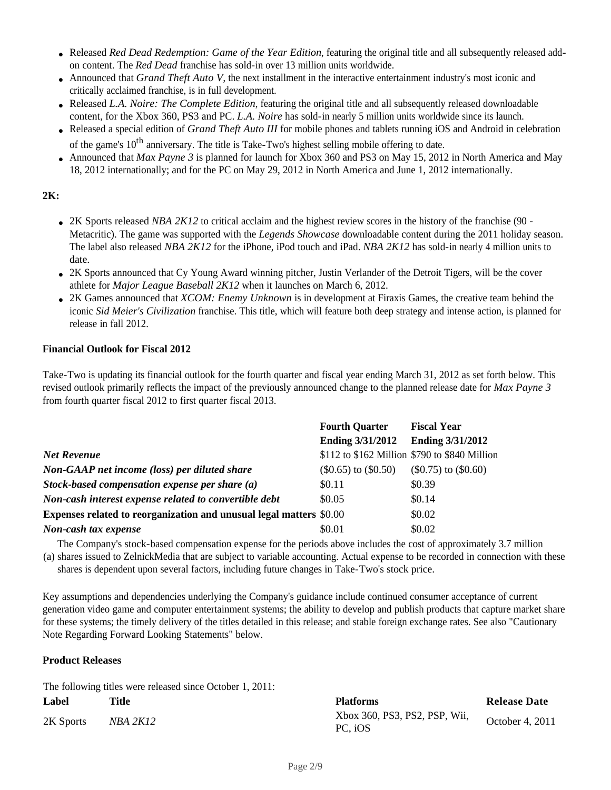- Released *Red Dead Redemption: Game of the Year Edition*, featuring the original title and all subsequently released addon content. The *Red Dead* franchise has sold-in over 13 million units worldwide.
- Announced that *Grand Theft Auto V*, the next installment in the interactive entertainment industry's most iconic and critically acclaimed franchise, is in full development.
- Released *L.A. Noire: The Complete Edition*, featuring the original title and all subsequently released downloadable content, for the Xbox 360, PS3 and PC. *L.A. Noire* has sold-in nearly 5 million units worldwide since its launch.
- Released a special edition of *Grand Theft Auto III* for mobile phones and tablets running iOS and Android in celebration of the game's 10<sup>th</sup> anniversary. The title is Take-Two's highest selling mobile offering to date.
- Announced that *Max Payne 3* is planned for launch for Xbox 360 and PS3 on May 15, 2012 in North America and May 18, 2012 internationally; and for the PC on May 29, 2012 in North America and June 1, 2012 internationally.

# **2K:**

- 2K Sports released *NBA 2K12* to critical acclaim and the highest review scores in the history of the franchise (90 -Metacritic). The game was supported with the *Legends Showcase* downloadable content during the 2011 holiday season. The label also released *NBA 2K12* for the iPhone, iPod touch and iPad. *NBA 2K12* has sold-in nearly 4 million units to date.
- 2K Sports announced that Cy Young Award winning pitcher, Justin Verlander of the Detroit Tigers, will be the cover athlete for *Major League Baseball 2K12* when it launches on March 6, 2012.
- 2K Games announced that *XCOM: Enemy Unknown* is in development at Firaxis Games, the creative team behind the iconic *Sid Meier's Civilization* franchise. This title, which will feature both deep strategy and intense action, is planned for release in fall 2012.

#### **Financial Outlook for Fiscal 2012**

Take-Two is updating its financial outlook for the fourth quarter and fiscal year ending March 31, 2012 as set forth below. This revised outlook primarily reflects the impact of the previously announced change to the planned release date for *Max Payne 3* from fourth quarter fiscal 2012 to first quarter fiscal 2013.

|                                                                     | <b>Fourth Quarter</b>    | <b>Fiscal Year</b>                            |
|---------------------------------------------------------------------|--------------------------|-----------------------------------------------|
|                                                                     | <b>Ending 3/31/2012</b>  | <b>Ending 3/31/2012</b>                       |
| <b>Net Revenue</b>                                                  |                          | \$112 to \$162 Million \$790 to \$840 Million |
| Non-GAAP net income (loss) per diluted share                        | $(\$0.65)$ to $(\$0.50)$ | $$0.75)$ to $$0.60)$                          |
| Stock-based compensation expense per share $(a)$                    | \$0.11                   | \$0.39                                        |
| Non-cash interest expense related to convertible debt               | \$0.05                   | \$0.14                                        |
| Expenses related to reorganization and unusual legal matters \$0.00 |                          | \$0.02                                        |
| Non-cash tax expense                                                | \$0.01                   | \$0.02                                        |

(a) shares issued to ZelnickMedia that are subject to variable accounting. Actual expense to be recorded in connection with these The Company's stock-based compensation expense for the periods above includes the cost of approximately 3.7 million shares is dependent upon several factors, including future changes in Take-Two's stock price.

Key assumptions and dependencies underlying the Company's guidance include continued consumer acceptance of current generation video game and computer entertainment systems; the ability to develop and publish products that capture market share for these systems; the timely delivery of the titles detailed in this release; and stable foreign exchange rates. See also "Cautionary Note Regarding Forward Looking Statements" below.

### **Product Releases**

The following titles were released since October 1, 2011:

| Label     | <b>Title</b> | <b>Platforms</b>                         | <b>Release Date</b> |
|-----------|--------------|------------------------------------------|---------------------|
| 2K Sports | NBA 2K12     | Xbox 360, PS3, PS2, PSP, Wii,<br>PC. iOS | October 4, 2011     |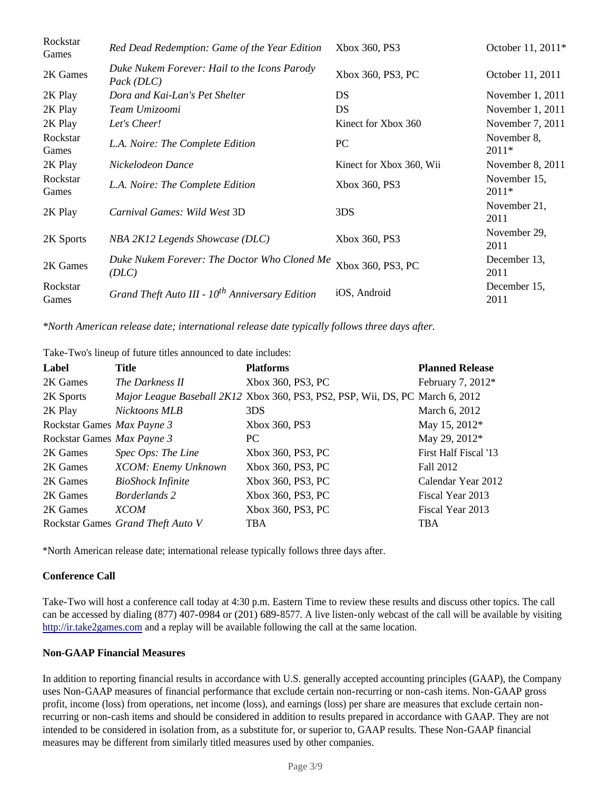| Rockstar<br>Games | Red Dead Redemption: Game of the Year Edition               | Xbox 360, PS3            | October 11, 2011*       |
|-------------------|-------------------------------------------------------------|--------------------------|-------------------------|
| 2K Games          | Duke Nukem Forever: Hail to the Icons Parody<br>Pack (DLC)  | Xbox 360, PS3, PC        | October 11, 2011        |
| 2K Play           | Dora and Kai-Lan's Pet Shelter                              | DS                       | November 1, 2011        |
| 2K Play           | Team Umizoomi                                               | DS                       | November 1, 2011        |
| 2K Play           | Let's Cheer!                                                | Kinect for Xbox 360      | November 7, 2011        |
| Rockstar<br>Games | L.A. Noire: The Complete Edition                            | PC                       | November 8,<br>$2011*$  |
| 2K Play           | Nickelodeon Dance                                           | Kinect for Xbox 360, Wii | November 8, 2011        |
| Rockstar<br>Games | L.A. Noire: The Complete Edition                            | Xbox 360, PS3            | November 15,<br>$2011*$ |
| 2K Play           | Carnival Games: Wild West 3D                                | 3DS                      | November 21,<br>2011    |
| 2K Sports         | NBA 2K12 Legends Showcase (DLC)                             | Xbox 360, PS3            | November 29,<br>2011    |
| 2K Games          | Duke Nukem Forever: The Doctor Who Cloned Me<br>(DLC)       | Xbox 360, PS3, PC        | December 13,<br>2011    |
| Rockstar<br>Games | Grand Theft Auto III - 10 <sup>th</sup> Anniversary Edition | iOS, Android             | December 15,<br>2011    |

*\*North American release date; international release date typically follows three days after.*

Take-Two's lineup of future titles announced to date includes:

| Label                      | Title                             | <b>Platforms</b>                                                              | <b>Planned Release</b> |
|----------------------------|-----------------------------------|-------------------------------------------------------------------------------|------------------------|
| 2K Games                   | The Darkness II                   | Xbox 360, PS3, PC                                                             | February 7, 2012*      |
| 2K Sports                  |                                   | Major League Baseball 2K12 Xbox 360, PS3, PS2, PSP, Wii, DS, PC March 6, 2012 |                        |
| 2K Play                    | Nicktoons MLB                     | 3DS                                                                           | March 6, 2012          |
| Rockstar Games Max Payne 3 |                                   | Xbox 360, PS3                                                                 | May 15, 2012*          |
| Rockstar Games Max Payne 3 |                                   | PC.                                                                           | May 29, 2012*          |
| 2K Games                   | Spec Ops: The Line                | Xbox 360, PS3, PC                                                             | First Half Fiscal '13  |
| 2K Games                   | XCOM: Enemy Unknown               | Xbox 360, PS3, PC                                                             | Fall 2012              |
| 2K Games                   | <b>BioShock Infinite</b>          | Xbox 360, PS3, PC                                                             | Calendar Year 2012     |
| 2K Games                   | <b>Borderlands 2</b>              | Xbox 360, PS3, PC                                                             | Fiscal Year 2013       |
| 2K Games                   | <b>XCOM</b>                       | Xbox 360, PS3, PC                                                             | Fiscal Year 2013       |
|                            | Rockstar Games Grand Theft Auto V | <b>TBA</b>                                                                    | <b>TBA</b>             |

\*North American release date; international release typically follows three days after.

#### **Conference Call**

Take-Two will host a conference call today at 4:30 p.m. Eastern Time to review these results and discuss other topics. The call can be accessed by dialing (877) 407-0984 or (201) 689-8577. A live listen-only webcast of the call will be available by visiting http://ir.take2games.com and a replay will be available following the call at the same location.

#### **Non-GAAP Financial Measures**

In addition to reporting financial results in accordance with U.S. generally accepted accounting principles (GAAP), the Company uses Non-GAAP measures of financial performance that exclude certain non-recurring or non-cash items. Non-GAAP gross profit, income (loss) from operations, net income (loss), and earnings (loss) per share are measures that exclude certain nonrecurring or non-cash items and should be considered in addition to results prepared in accordance with GAAP. They are not intended to be considered in isolation from, as a substitute for, or superior to, GAAP results. These Non-GAAP financial measures may be different from similarly titled measures used by other companies.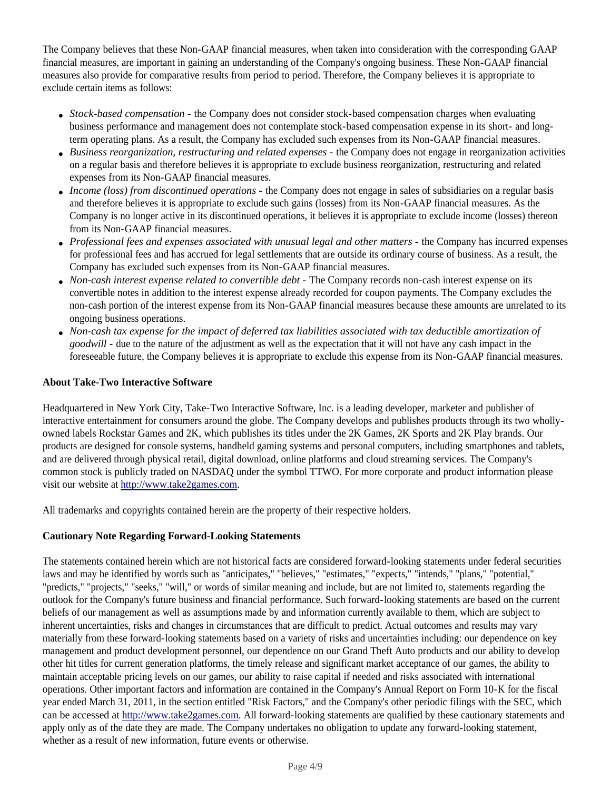The Company believes that these Non-GAAP financial measures, when taken into consideration with the corresponding GAAP financial measures, are important in gaining an understanding of the Company's ongoing business. These Non-GAAP financial measures also provide for comparative results from period to period. Therefore, the Company believes it is appropriate to exclude certain items as follows:

- *Stock-based compensation* the Company does not consider stock-based compensation charges when evaluating business performance and management does not contemplate stock-based compensation expense in its short- and longterm operating plans. As a result, the Company has excluded such expenses from its Non-GAAP financial measures.
- *Business reorganization, restructuring and related expenses* the Company does not engage in reorganization activities on a regular basis and therefore believes it is appropriate to exclude business reorganization, restructuring and related expenses from its Non-GAAP financial measures.
- *Income (loss) from discontinued operations* the Company does not engage in sales of subsidiaries on a regular basis and therefore believes it is appropriate to exclude such gains (losses) from its Non-GAAP financial measures. As the Company is no longer active in its discontinued operations, it believes it is appropriate to exclude income (losses) thereon from its Non-GAAP financial measures.
- *Professional fees and expenses associated with unusual legal and other matters* the Company has incurred expenses for professional fees and has accrued for legal settlements that are outside its ordinary course of business. As a result, the Company has excluded such expenses from its Non-GAAP financial measures.
- *Non-cash interest expense related to convertible debt* The Company records non-cash interest expense on its convertible notes in addition to the interest expense already recorded for coupon payments. The Company excludes the non-cash portion of the interest expense from its Non-GAAP financial measures because these amounts are unrelated to its ongoing business operations.
- *Non-cash tax expense for the impact of deferred tax liabilities associated with tax deductible amortization of goodwill* - due to the nature of the adjustment as well as the expectation that it will not have any cash impact in the foreseeable future, the Company believes it is appropriate to exclude this expense from its Non-GAAP financial measures*.*

#### **About Take-Two Interactive Software**

Headquartered in New York City, Take-Two Interactive Software, Inc. is a leading developer, marketer and publisher of interactive entertainment for consumers around the globe. The Company develops and publishes products through its two whollyowned labels Rockstar Games and 2K, which publishes its titles under the 2K Games, 2K Sports and 2K Play brands. Our products are designed for console systems, handheld gaming systems and personal computers, including smartphones and tablets, and are delivered through physical retail, digital download, online platforms and cloud streaming services. The Company's common stock is publicly traded on NASDAQ under the symbol TTWO. For more corporate and product information please visit our website at http://www.take2games.com.

All trademarks and copyrights contained herein are the property of their respective holders.

#### **Cautionary Note Regarding Forward-Looking Statements**

The statements contained herein which are not historical facts are considered forward-looking statements under federal securities laws and may be identified by words such as "anticipates," "believes," "estimates," "expects," "intends," "plans," "potential," "predicts," "projects," "seeks," "will," or words of similar meaning and include, but are not limited to, statements regarding the outlook for the Company's future business and financial performance. Such forward-looking statements are based on the current beliefs of our management as well as assumptions made by and information currently available to them, which are subject to inherent uncertainties, risks and changes in circumstances that are difficult to predict. Actual outcomes and results may vary materially from these forward-looking statements based on a variety of risks and uncertainties including: our dependence on key management and product development personnel, our dependence on our Grand Theft Auto products and our ability to develop other hit titles for current generation platforms, the timely release and significant market acceptance of our games, the ability to maintain acceptable pricing levels on our games, our ability to raise capital if needed and risks associated with international operations. Other important factors and information are contained in the Company's Annual Report on Form 10-K for the fiscal year ended March 31, 2011, in the section entitled "Risk Factors," and the Company's other periodic filings with the SEC, which can be accessed at http://www.take2games.com. All forward-looking statements are qualified by these cautionary statements and apply only as of the date they are made. The Company undertakes no obligation to update any forward-looking statement, whether as a result of new information, future events or otherwise.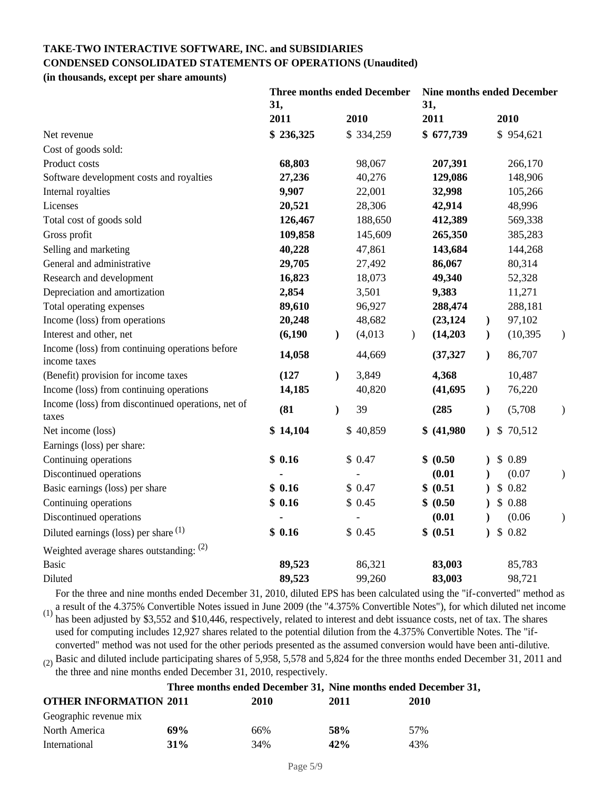# **TAKE-TWO INTERACTIVE SOFTWARE, INC. and SUBSIDIARIES CONDENSED CONSOLIDATED STATEMENTS OF OPERATIONS (Unaudited)**

**(in thousands, except per share amounts)**

|                                                    | <b>Three months ended December</b><br>31, |           |               | <b>Nine months ended December</b><br>31, |               |             |               |  |           |               |
|----------------------------------------------------|-------------------------------------------|-----------|---------------|------------------------------------------|---------------|-------------|---------------|--|-----------|---------------|
|                                                    |                                           | 2011      |               | 2010                                     |               | 2011        |               |  | 2010      |               |
| Net revenue                                        |                                           | \$236,325 |               | \$334,259                                |               | \$677,739   |               |  | \$954,621 |               |
| Cost of goods sold:                                |                                           |           |               |                                          |               |             |               |  |           |               |
| Product costs                                      |                                           | 68,803    |               | 98,067                                   |               | 207,391     |               |  | 266,170   |               |
| Software development costs and royalties           |                                           | 27,236    |               | 40,276                                   |               | 129,086     |               |  | 148,906   |               |
| Internal royalties                                 |                                           | 9,907     |               | 22,001                                   |               | 32,998      |               |  | 105,266   |               |
| Licenses                                           |                                           | 20,521    |               | 28,306                                   |               | 42,914      |               |  | 48,996    |               |
| Total cost of goods sold                           |                                           | 126,467   |               | 188,650                                  |               | 412,389     |               |  | 569,338   |               |
| Gross profit                                       |                                           | 109,858   |               | 145,609                                  |               | 265,350     |               |  | 385,283   |               |
| Selling and marketing                              |                                           | 40,228    |               | 47,861                                   |               | 143,684     |               |  | 144,268   |               |
| General and administrative                         |                                           | 29,705    |               | 27,492                                   |               | 86,067      |               |  | 80,314    |               |
| Research and development                           |                                           | 16,823    |               | 18,073                                   |               | 49,340      |               |  | 52,328    |               |
| Depreciation and amortization                      |                                           | 2,854     |               | 3,501                                    |               | 9,383       |               |  | 11,271    |               |
| Total operating expenses                           |                                           | 89,610    |               | 96,927                                   |               | 288,474     |               |  | 288,181   |               |
| Income (loss) from operations                      |                                           | 20,248    |               | 48,682                                   |               | (23, 124)   | $\mathcal{E}$ |  | 97,102    |               |
| Interest and other, net                            |                                           | (6,190)   | $\mathcal{L}$ | (4,013)                                  | $\mathcal{L}$ | (14,203)    | $\mathcal{L}$ |  | (10, 395) | $\mathcal{F}$ |
| Income (loss) from continuing operations before    |                                           | 14,058    |               | 44,669                                   |               | (37, 327)   | $\mathcal{E}$ |  | 86,707    |               |
| income taxes                                       |                                           |           |               |                                          |               |             |               |  |           |               |
| (Benefit) provision for income taxes               |                                           | (127)     | $\lambda$     | 3,849                                    |               | 4,368       |               |  | 10,487    |               |
| Income (loss) from continuing operations           |                                           | 14,185    |               | 40,820                                   |               | (41, 695)   | $\mathcal{L}$ |  | 76,220    |               |
| Income (loss) from discontinued operations, net of |                                           | (81)      | $\lambda$     | 39                                       |               | (285)       | $\lambda$     |  | (5,708)   | $\mathcal{E}$ |
| taxes                                              |                                           |           |               |                                          |               |             |               |  |           |               |
| Net income (loss)                                  |                                           | \$14,104  |               | \$40,859                                 |               | \$ (41,980) |               |  | \$70,512  |               |
| Earnings (loss) per share:                         |                                           |           |               |                                          |               |             |               |  |           |               |
| Continuing operations                              |                                           | \$0.16    |               | \$0.47                                   |               | \$ (0.50)   |               |  | \$0.89    |               |
| Discontinued operations                            |                                           |           |               |                                          |               | (0.01)      |               |  | (0.07)    | $\mathcal{)}$ |
| Basic earnings (loss) per share                    |                                           | \$0.16    |               | \$0.47                                   |               | \$ (0.51)   |               |  | \$0.82    |               |
| Continuing operations                              |                                           | \$0.16    |               | \$0.45                                   |               | \$ (0.50)   |               |  | \$0.88    |               |
| Discontinued operations                            |                                           |           |               |                                          |               | (0.01)      |               |  | (0.06)    | $\mathcal{)}$ |
| Diluted earnings (loss) per share $(1)$            |                                           | \$0.16    |               | \$0.45                                   |               | \$ (0.51)   | $\lambda$     |  | \$0.82    |               |
| Weighted average shares outstanding: $(2)$         |                                           |           |               |                                          |               |             |               |  |           |               |
| <b>Basic</b>                                       |                                           | 89,523    |               | 86,321                                   |               | 83,003      |               |  | 85,783    |               |
| Diluted                                            |                                           | 89,523    |               | 99,260                                   |               | 83,003      |               |  | 98,721    |               |

(1) For the three and nine months ended December 31, 2010, diluted EPS has been calculated using the "if-converted" method as a result of the 4.375% Convertible Notes issued in June 2009 (the "4.375% Convertible Notes"), for which diluted net income has been adjusted by \$3,552 and \$10,446, respectively, related to interest and debt issuance costs, net of tax. The shares used for computing includes 12,927 shares related to the potential dilution from the 4.375% Convertible Notes. The "ifconverted" method was not used for the other periods presented as the assumed conversion would have been anti-dilutive.

 $(2)$  Basic and diluted include participating shares of 5,958, 5,578 and 5,824 for the three months ended December 31, 2011 and the three and nine months ended December 31, 2010, respectively.

|                               |        |      | Three months ended December 31, Nine months ended December 31, |      |  |  |
|-------------------------------|--------|------|----------------------------------------------------------------|------|--|--|
| <b>OTHER INFORMATION 2011</b> |        | 2010 | 2011                                                           | 2010 |  |  |
| Geographic revenue mix        |        |      |                                                                |      |  |  |
| North America                 | 69%    | 66%  | 58%                                                            | 57%  |  |  |
| International                 | $31\%$ | 34%  | 42%                                                            | 43%  |  |  |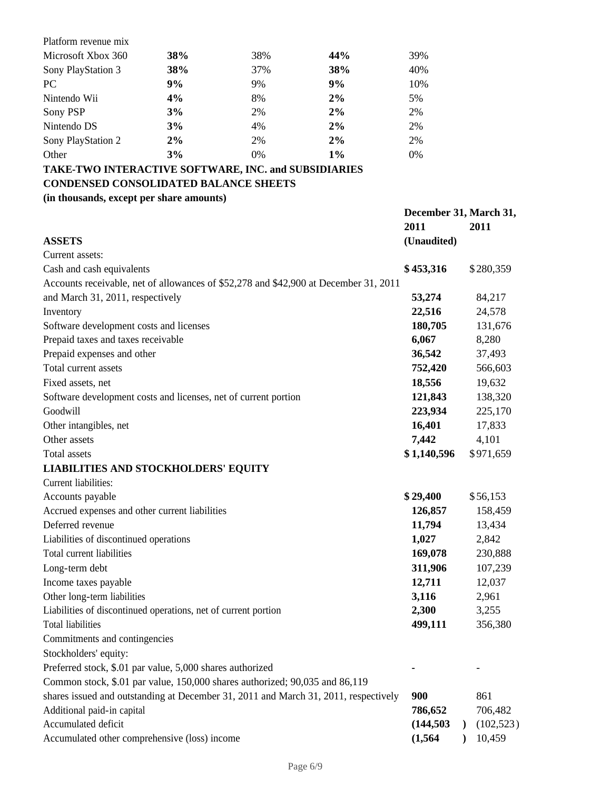| Platform revenue mix |     |       |       |     |
|----------------------|-----|-------|-------|-----|
| Microsoft Xbox 360   | 38% | 38%   | 44%   | 39% |
| Sony PlayStation 3   | 38% | 37%   | 38%   | 40% |
| <b>PC</b>            | 9%  | 9%    | 9%    | 10% |
| Nintendo Wii         | 4%  | 8%    | 2%    | 5%  |
| Sony PSP             | 3%  | 2%    | 2%    | 2%  |
| Nintendo DS          | 3%  | 4%    | 2%    | 2%  |
| Sony PlayStation 2   | 2%  | 2%    | 2%    | 2%  |
| Other                | 3%  | $0\%$ | $1\%$ | 0%  |

# **TAKE-TWO INTERACTIVE SOFTWARE, INC. and SUBSIDIARIES CONDENSED CONSOLIDATED BALANCE SHEETS**

## **(in thousands, except per share amounts)**

|                                                                                      | December 31, March 31, |  |            |
|--------------------------------------------------------------------------------------|------------------------|--|------------|
|                                                                                      | 2011                   |  | 2011       |
| <b>ASSETS</b>                                                                        | (Unaudited)            |  |            |
| Current assets:                                                                      |                        |  |            |
| Cash and cash equivalents                                                            | \$453,316              |  | \$280,359  |
| Accounts receivable, net of allowances of \$52,278 and \$42,900 at December 31, 2011 |                        |  |            |
| and March 31, 2011, respectively                                                     | 53,274                 |  | 84,217     |
| Inventory                                                                            | 22,516                 |  | 24,578     |
| Software development costs and licenses                                              | 180,705                |  | 131,676    |
| Prepaid taxes and taxes receivable                                                   | 6,067                  |  | 8,280      |
| Prepaid expenses and other                                                           | 36,542                 |  | 37,493     |
| Total current assets                                                                 | 752,420                |  | 566,603    |
| Fixed assets, net                                                                    | 18,556                 |  | 19,632     |
| Software development costs and licenses, net of current portion                      | 121,843                |  | 138,320    |
| Goodwill                                                                             | 223,934                |  | 225,170    |
| Other intangibles, net                                                               | 16,401                 |  | 17,833     |
| Other assets                                                                         | 7,442                  |  | 4,101      |
| Total assets                                                                         | \$1,140,596            |  | \$971,659  |
| <b>LIABILITIES AND STOCKHOLDERS' EQUITY</b>                                          |                        |  |            |
| Current liabilities:                                                                 |                        |  |            |
| Accounts payable                                                                     | \$29,400               |  | \$56,153   |
| Accrued expenses and other current liabilities                                       | 126,857                |  | 158,459    |
| Deferred revenue                                                                     | 11,794                 |  | 13,434     |
| Liabilities of discontinued operations                                               | 1,027                  |  | 2,842      |
| Total current liabilities                                                            | 169,078                |  | 230,888    |
| Long-term debt                                                                       | 311,906                |  | 107,239    |
| Income taxes payable                                                                 | 12,711                 |  | 12,037     |
| Other long-term liabilities                                                          | 3,116                  |  | 2,961      |
| Liabilities of discontinued operations, net of current portion                       | 2,300                  |  | 3,255      |
| <b>Total liabilities</b>                                                             | 499,111                |  | 356,380    |
| Commitments and contingencies                                                        |                        |  |            |
| Stockholders' equity:                                                                |                        |  |            |
| Preferred stock, \$.01 par value, 5,000 shares authorized                            |                        |  |            |
| Common stock, \$.01 par value, 150,000 shares authorized; 90,035 and 86,119          |                        |  |            |
| shares issued and outstanding at December 31, 2011 and March 31, 2011, respectively  | 900                    |  | 861        |
| Additional paid-in capital                                                           | 786,652                |  | 706,482    |
| Accumulated deficit                                                                  | (144, 503)             |  | (102, 523) |
| Accumulated other comprehensive (loss) income                                        | (1, 564)               |  | 10,459     |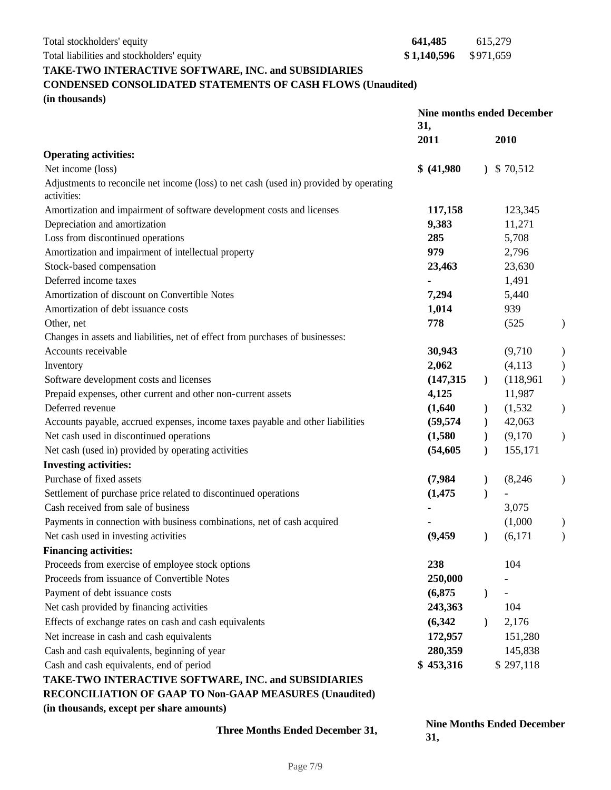Total stockholders' equity **641,485** 615,279

Total liabilities and stockholders' equity **\$1,140,596** \$971,659

## **TAKE-TWO INTERACTIVE SOFTWARE, INC. and SUBSIDIARIES**

# **CONDENSED CONSOLIDATED STATEMENTS OF CASH FLOWS (Unaudited)**

**(in thousands)**

|                                                                                        | <b>Nine months ended December</b><br>31, |               |           |               |
|----------------------------------------------------------------------------------------|------------------------------------------|---------------|-----------|---------------|
|                                                                                        | 2011                                     |               | 2010      |               |
| <b>Operating activities:</b>                                                           |                                          |               |           |               |
| Net income (loss)                                                                      | \$ (41,980)                              | $\mathcal{L}$ | \$70,512  |               |
| Adjustments to reconcile net income (loss) to net cash (used in) provided by operating |                                          |               |           |               |
| activities:                                                                            |                                          |               |           |               |
| Amortization and impairment of software development costs and licenses                 | 117,158                                  |               | 123,345   |               |
| Depreciation and amortization                                                          | 9,383                                    |               | 11,271    |               |
| Loss from discontinued operations                                                      | 285                                      |               | 5,708     |               |
| Amortization and impairment of intellectual property                                   | 979                                      |               | 2,796     |               |
| Stock-based compensation                                                               | 23,463                                   |               | 23,630    |               |
| Deferred income taxes                                                                  |                                          |               | 1,491     |               |
| Amortization of discount on Convertible Notes                                          | 7,294                                    |               | 5,440     |               |
| Amortization of debt issuance costs                                                    | 1,014                                    |               | 939       |               |
| Other, net                                                                             | 778                                      |               | (525)     | $\mathcal{Y}$ |
| Changes in assets and liabilities, net of effect from purchases of businesses:         |                                          |               |           |               |
| Accounts receivable                                                                    | 30,943                                   |               | (9,710)   |               |
| Inventory                                                                              | 2,062                                    |               | (4, 113)  |               |
| Software development costs and licenses                                                | (147, 315)                               | $\mathcal{L}$ | (118,961) | $\mathcal{E}$ |
| Prepaid expenses, other current and other non-current assets                           | 4,125                                    |               | 11,987    |               |
| Deferred revenue                                                                       | (1,640)                                  | $\mathcal{F}$ | (1, 532)  | $\mathcal{E}$ |
| Accounts payable, accrued expenses, income taxes payable and other liabilities         | (59, 574)                                | $\mathcal{F}$ | 42,063    |               |
| Net cash used in discontinued operations                                               | (1,580)                                  | $\mathcal{F}$ | (9,170)   | $\mathcal{L}$ |
| Net cash (used in) provided by operating activities                                    | (54, 605)                                | $\mathcal{L}$ | 155,171   |               |
| <b>Investing activities:</b>                                                           |                                          |               |           |               |
| Purchase of fixed assets                                                               | (7,984)                                  | $\mathbf{)}$  | (8,246)   |               |
| Settlement of purchase price related to discontinued operations                        | (1, 475)                                 |               |           |               |
| Cash received from sale of business                                                    |                                          |               | 3,075     |               |
| Payments in connection with business combinations, net of cash acquired                |                                          |               | (1,000)   |               |
| Net cash used in investing activities                                                  | (9, 459)                                 | $\lambda$     | (6,171)   | $\mathcal{E}$ |
| <b>Financing activities:</b>                                                           |                                          |               |           |               |
| Proceeds from exercise of employee stock options                                       | 238                                      |               | 104       |               |
| Proceeds from issuance of Convertible Notes                                            | 250,000                                  |               |           |               |
| Payment of debt issuance costs                                                         | (6,875)                                  | $\mathcal{E}$ |           |               |
| Net cash provided by financing activities                                              | 243,363                                  |               | 104       |               |
| Effects of exchange rates on cash and cash equivalents                                 | (6, 342)                                 | $\lambda$     | 2,176     |               |
| Net increase in cash and cash equivalents                                              | 172,957                                  |               | 151,280   |               |
| Cash and cash equivalents, beginning of year                                           | 280,359                                  |               | 145,838   |               |
| Cash and cash equivalents, end of period                                               | \$453,316                                |               | \$297,118 |               |
| TAKE-TWO INTERACTIVE SOFTWARE, INC. and SUBSIDIARIES                                   |                                          |               |           |               |
| RECONCILIATION OF GAAP TO Non-GAAP MEASURES (Unaudited)                                |                                          |               |           |               |
| (in thousands, except per share amounts)                                               |                                          |               |           |               |
|                                                                                        |                                          |               |           |               |

**Three Months Ended December 31,**  $\sum_{n=1}^{\infty}$  **Months Ended December 31, 31,**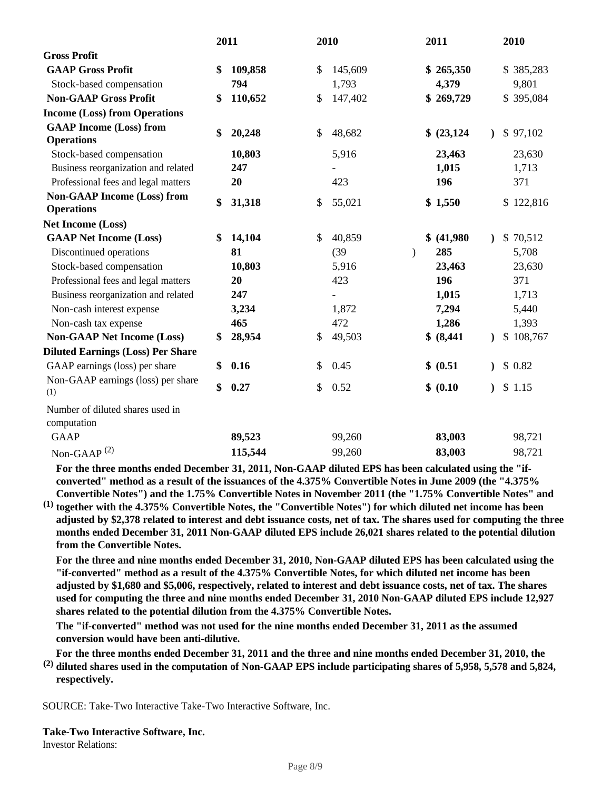|                                                 | 2011          |               | 2010    |               | 2011        |           | 2010      |
|-------------------------------------------------|---------------|---------------|---------|---------------|-------------|-----------|-----------|
| <b>Gross Profit</b>                             |               |               |         |               |             |           |           |
| <b>GAAP Gross Profit</b>                        | \$<br>109,858 | \$            | 145,609 |               | \$265,350   |           | \$385,283 |
| Stock-based compensation                        | 794           |               | 1,793   |               | 4,379       |           | 9,801     |
| <b>Non-GAAP Gross Profit</b>                    | \$<br>110,652 | \$            | 147,402 |               | \$269,729   |           | \$395,084 |
| <b>Income (Loss) from Operations</b>            |               |               |         |               |             |           |           |
| <b>GAAP Income (Loss) from</b>                  | \$<br>20,248  | $\mathcal{S}$ | 48,682  |               | \$ (23,124) |           | \$97,102  |
| <b>Operations</b>                               |               |               |         |               |             |           |           |
| Stock-based compensation                        | 10,803        |               | 5,916   |               | 23,463      |           | 23,630    |
| Business reorganization and related             | 247           |               |         |               | 1,015       |           | 1,713     |
| Professional fees and legal matters             | 20            |               | 423     |               | 196         |           | 371       |
| <b>Non-GAAP Income (Loss) from</b>              | \$<br>31,318  | \$            | 55,021  |               | \$1,550     |           | \$122,816 |
| <b>Operations</b>                               |               |               |         |               |             |           |           |
| <b>Net Income (Loss)</b>                        |               |               |         |               |             |           |           |
| <b>GAAP Net Income (Loss)</b>                   | \$<br>14,104  | \$            | 40,859  |               | \$ (41,980) | $\lambda$ | \$70,512  |
| Discontinued operations                         | 81            |               | (39)    | $\mathcal{E}$ | 285         |           | 5,708     |
| Stock-based compensation                        | 10,803        |               | 5,916   |               | 23,463      |           | 23,630    |
| Professional fees and legal matters             | 20            |               | 423     |               | 196         |           | 371       |
| Business reorganization and related             | 247           |               |         |               | 1,015       |           | 1,713     |
| Non-cash interest expense                       | 3,234         |               | 1,872   |               | 7,294       |           | 5,440     |
| Non-cash tax expense                            | 465           |               | 472     |               | 1,286       |           | 1,393     |
| <b>Non-GAAP Net Income (Loss)</b>               | \$<br>28,954  | \$            | 49,503  |               | \$ (8,441)  |           | \$108,767 |
| <b>Diluted Earnings (Loss) Per Share</b>        |               |               |         |               |             |           |           |
| GAAP earnings (loss) per share                  | \$<br>0.16    | \$            | 0.45    |               | \$ (0.51)   |           | \$0.82    |
| Non-GAAP earnings (loss) per share              | \$<br>0.27    | \$            | 0.52    |               | \$ (0.10)   |           | \$1.15    |
| (1)                                             |               |               |         |               |             |           |           |
| Number of diluted shares used in<br>computation |               |               |         |               |             |           |           |
| <b>GAAP</b>                                     | 89,523        |               | 99,260  |               | 83,003      |           | 98,721    |
| Non-GAAP $^{(2)}$                               | 115,544       |               | 99,260  |               | 83,003      |           | 98,721    |

**For the three months ended December 31, 2011, Non-GAAP diluted EPS has been calculated using the "ifconverted" method as a result of the issuances of the 4.375% Convertible Notes in June 2009 (the "4.375% Convertible Notes") and the 1.75% Convertible Notes in November 2011 (the "1.75% Convertible Notes" and** 

**(1) together with the 4.375% Convertible Notes, the "Convertible Notes") for which diluted net income has been adjusted by \$2,378 related to interest and debt issuance costs, net of tax. The shares used for computing the three months ended December 31, 2011 Non-GAAP diluted EPS include 26,021 shares related to the potential dilution from the Convertible Notes.**

**For the three and nine months ended December 31, 2010, Non-GAAP diluted EPS has been calculated using the "if-converted" method as a result of the 4.375% Convertible Notes, for which diluted net income has been adjusted by \$1,680 and \$5,006, respectively, related to interest and debt issuance costs, net of tax. The shares used for computing the three and nine months ended December 31, 2010 Non-GAAP diluted EPS include 12,927 shares related to the potential dilution from the 4.375% Convertible Notes.**

**The "if-converted" method was not used for the nine months ended December 31, 2011 as the assumed conversion would have been anti-dilutive.**

**For the three months ended December 31, 2011 and the three and nine months ended December 31, 2010, the** 

**(2) diluted shares used in the computation of Non-GAAP EPS include participating shares of 5,958, 5,578 and 5,824, respectively.**

SOURCE: Take-Two Interactive Take-Two Interactive Software, Inc.